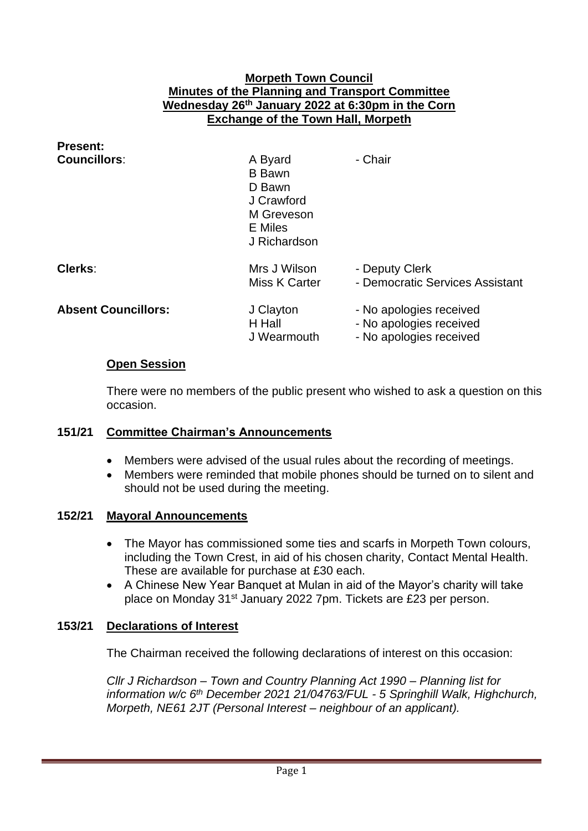### **Morpeth Town Council Minutes of the Planning and Transport Committee Wednesday 26th January 2022 at 6:30pm in the Corn Exchange of the Town Hall, Morpeth**

| <b>Present:</b>            |                                                                                           |                                                                               |
|----------------------------|-------------------------------------------------------------------------------------------|-------------------------------------------------------------------------------|
| <b>Councillors:</b>        | A Byard<br><b>B</b> Bawn<br>D Bawn<br>J Crawford<br>M Greveson<br>E Miles<br>J Richardson | - Chair                                                                       |
| Clerks:                    | Mrs J Wilson<br>Miss K Carter                                                             | - Deputy Clerk<br>- Democratic Services Assistant                             |
| <b>Absent Councillors:</b> | J Clayton<br>H Hall<br>J Wearmouth                                                        | - No apologies received<br>- No apologies received<br>- No apologies received |

### **Open Session**

There were no members of the public present who wished to ask a question on this occasion.

### **151/21 Committee Chairman's Announcements**

- Members were advised of the usual rules about the recording of meetings.
- Members were reminded that mobile phones should be turned on to silent and should not be used during the meeting.

#### **152/21 Mayoral Announcements**

- The Mayor has commissioned some ties and scarfs in Morpeth Town colours, including the Town Crest, in aid of his chosen charity, Contact Mental Health. These are available for purchase at £30 each.
- A Chinese New Year Banquet at Mulan in aid of the Mayor's charity will take place on Monday 31st January 2022 7pm. Tickets are £23 per person.

### **153/21 Declarations of Interest**

The Chairman received the following declarations of interest on this occasion:

*Cllr J Richardson – Town and Country Planning Act 1990 – Planning list for information w/c 6th December 2021 21/04763/FUL - 5 Springhill Walk, Highchurch, Morpeth, NE61 2JT (Personal Interest – neighbour of an applicant).*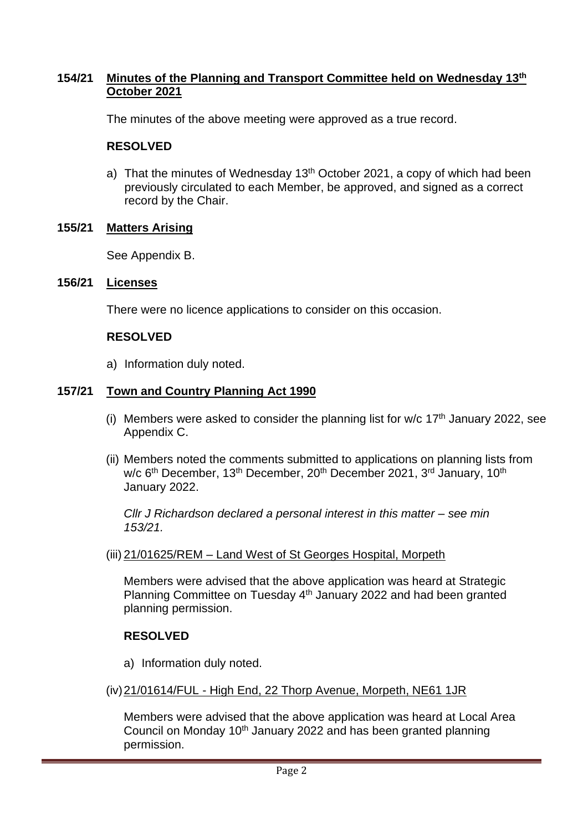# **154/21 Minutes of the Planning and Transport Committee held on Wednesday 13th October 2021**

The minutes of the above meeting were approved as a true record.

# **RESOLVED**

a) That the minutes of Wednesday  $13<sup>th</sup>$  October 2021, a copy of which had been previously circulated to each Member, be approved, and signed as a correct record by the Chair.

# **155/21 Matters Arising**

See Appendix B.

### **156/21 Licenses**

There were no licence applications to consider on this occasion.

### **RESOLVED**

a) Information duly noted.

### **157/21 Town and Country Planning Act 1990**

- (i) Members were asked to consider the planning list for  $w/c$  17<sup>th</sup> January 2022, see Appendix C.
- (ii) Members noted the comments submitted to applications on planning lists from w/c 6<sup>th</sup> December, 13<sup>th</sup> December, 20<sup>th</sup> December 2021, 3<sup>rd</sup> January, 10<sup>th</sup> January 2022.

*Cllr J Richardson declared a personal interest in this matter – see min 153/21.*

### (iii) 21/01625/REM – Land West of St Georges Hospital, Morpeth

Members were advised that the above application was heard at Strategic Planning Committee on Tuesday 4<sup>th</sup> January 2022 and had been granted planning permission.

### **RESOLVED**

- a) Information duly noted.
- (iv)21/01614/FUL High End, 22 Thorp Avenue, Morpeth, NE61 1JR

Members were advised that the above application was heard at Local Area Council on Monday 10<sup>th</sup> January 2022 and has been granted planning permission.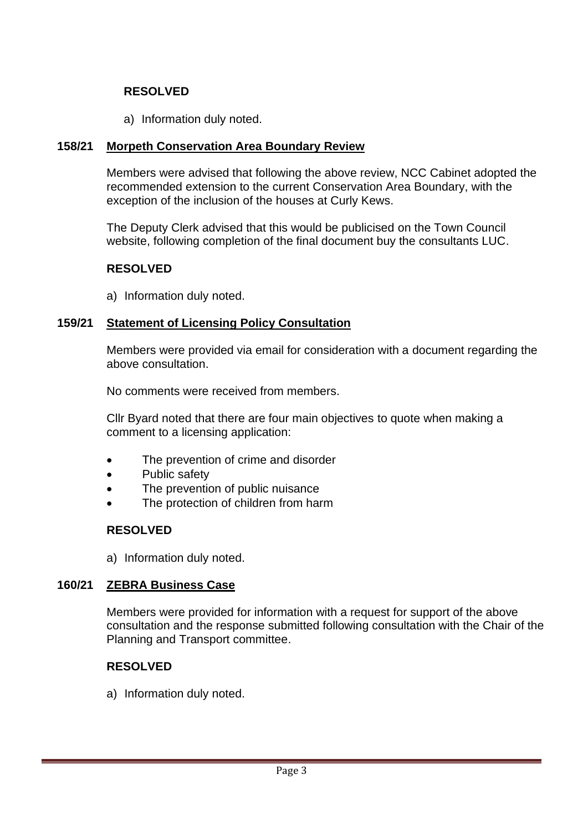# **RESOLVED**

a) Information duly noted.

# **158/21 Morpeth Conservation Area Boundary Review**

Members were advised that following the above review, NCC Cabinet adopted the recommended extension to the current Conservation Area Boundary, with the exception of the inclusion of the houses at Curly Kews.

The Deputy Clerk advised that this would be publicised on the Town Council website, following completion of the final document buy the consultants LUC.

### **RESOLVED**

a) Information duly noted.

### **159/21 Statement of Licensing Policy Consultation**

Members were provided via email for consideration with a document regarding the above consultation.

No comments were received from members.

Cllr Byard noted that there are four main objectives to quote when making a comment to a licensing application:

- The prevention of crime and disorder
- Public safety
- The prevention of public nuisance
- The protection of children from harm

# **RESOLVED**

a) Information duly noted.

### **160/21 ZEBRA Business Case**

Members were provided for information with a request for support of the above consultation and the response submitted following consultation with the Chair of the Planning and Transport committee.

### **RESOLVED**

a) Information duly noted.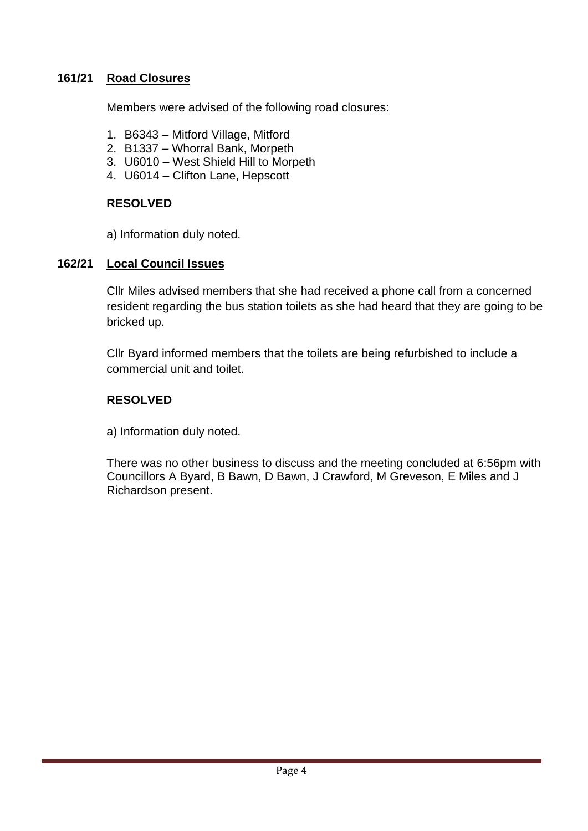# **161/21 Road Closures**

Members were advised of the following road closures:

- 1. B6343 Mitford Village, Mitford
- 2. B1337 Whorral Bank, Morpeth
- 3. U6010 West Shield Hill to Morpeth
- 4. U6014 Clifton Lane, Hepscott

### **RESOLVED**

a) Information duly noted.

### **162/21 Local Council Issues**

Cllr Miles advised members that she had received a phone call from a concerned resident regarding the bus station toilets as she had heard that they are going to be bricked up.

Cllr Byard informed members that the toilets are being refurbished to include a commercial unit and toilet.

### **RESOLVED**

a) Information duly noted.

There was no other business to discuss and the meeting concluded at 6:56pm with Councillors A Byard, B Bawn, D Bawn, J Crawford, M Greveson, E Miles and J Richardson present.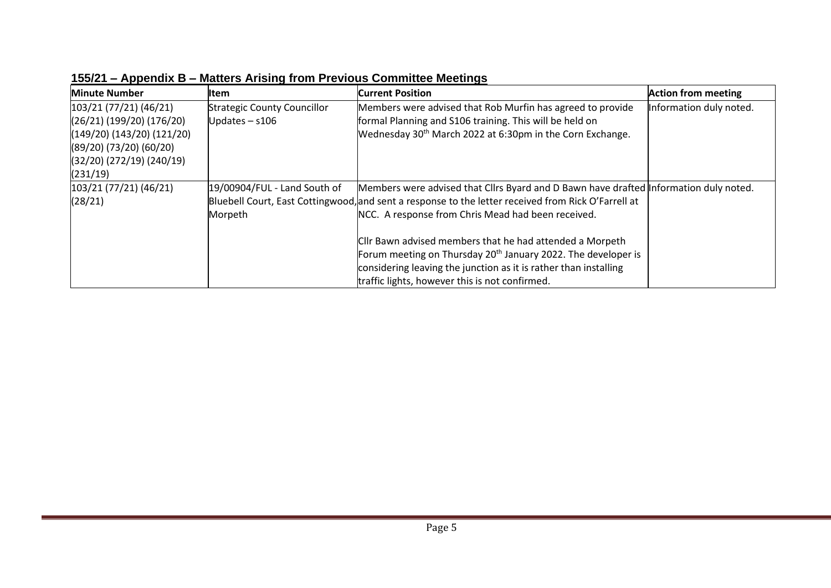| <b>Minute Number</b>         | ltem                               | <b>Current Position</b>                                                                             | <b>Action from meeting</b> |
|------------------------------|------------------------------------|-----------------------------------------------------------------------------------------------------|----------------------------|
| (103/21 (77/21) (46/21)      | <b>Strategic County Councillor</b> | Members were advised that Rob Murfin has agreed to provide                                          | Information duly noted.    |
| $(26/21)$ (199/20) (176/20)  | Updates $-$ s106                   | formal Planning and S106 training. This will be held on                                             |                            |
| $(149/20)$ (143/20) (121/20) |                                    | Wednesday 30 <sup>th</sup> March 2022 at 6:30pm in the Corn Exchange.                               |                            |
| $(89/20)$ (73/20) (60/20)    |                                    |                                                                                                     |                            |
| $(32/20)$ (272/19) (240/19)  |                                    |                                                                                                     |                            |
| (231/19)                     |                                    |                                                                                                     |                            |
| 103/21(77/21)(46/21)         | 19/00904/FUL - Land South of       | Members were advised that Cllrs Byard and D Bawn have drafted Information duly noted.               |                            |
| (28/21)                      |                                    | Bluebell Court, East Cottingwood, and sent a response to the letter received from Rick O'Farrell at |                            |
|                              | Morpeth                            | NCC. A response from Chris Mead had been received.                                                  |                            |
|                              |                                    |                                                                                                     |                            |
|                              |                                    | Cllr Bawn advised members that he had attended a Morpeth                                            |                            |
|                              |                                    | Forum meeting on Thursday $20th$ January 2022. The developer is                                     |                            |
|                              |                                    | considering leaving the junction as it is rather than installing                                    |                            |
|                              |                                    | traffic lights, however this is not confirmed.                                                      |                            |

**155/21 – Appendix B – Matters Arising from Previous Committee Meetings**